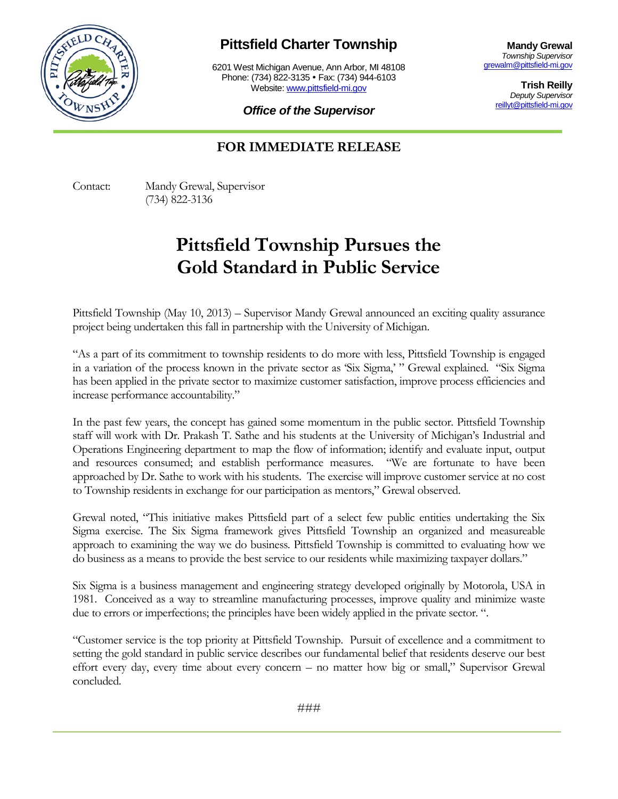

## **Pittsfield Charter Township**

6201 West Michigan Avenue, Ann Arbor, MI 48108 Phone: (734) 822-3135 • Fax: (734) 944-6103 Website: [www.pittsfield-mi.gov](http://www.pittsfield-mi.gov/)

**Mandy Grewal** *Township Supervisor* [grewalm@pittsfield-mi.gov](mailto:grewalm@pittsfield-mi.gov)

> **Trish Reilly** *Deputy Supervisor* [reillyt@pittsfield-mi.gov](mailto:reillyt@pittsfield-mi.gov)

*Office of the Supervisor*

## **FOR IMMEDIATE RELEASE**

Contact: Mandy Grewal, Supervisor (734) 822-3136

## **Pittsfield Township Pursues the Gold Standard in Public Service**

Pittsfield Township (May 10, 2013) – Supervisor Mandy Grewal announced an exciting quality assurance project being undertaken this fall in partnership with the University of Michigan.

"As a part of its commitment to township residents to do more with less, Pittsfield Township is engaged in a variation of the process known in the private sector as 'Six Sigma,' " Grewal explained. "Six Sigma has been applied in the private sector to maximize customer satisfaction, improve process efficiencies and increase performance accountability."

In the past few years, the concept has gained some momentum in the public sector. Pittsfield Township staff will work with Dr. Prakash T. Sathe and his students at the University of Michigan's Industrial and Operations Engineering department to map the flow of information; identify and evaluate input, output and resources consumed; and establish performance measures. "We are fortunate to have been approached by Dr. Sathe to work with his students. The exercise will improve customer service at no cost to Township residents in exchange for our participation as mentors," Grewal observed.

Grewal noted, "This initiative makes Pittsfield part of a select few public entities undertaking the Six Sigma exercise. The Six Sigma framework gives Pittsfield Township an organized and measureable approach to examining the way we do business. Pittsfield Township is committed to evaluating how we do business as a means to provide the best service to our residents while maximizing taxpayer dollars."

Six Sigma is a business management and engineering strategy developed originally by Motorola, USA in 1981. Conceived as a way to streamline manufacturing processes, improve quality and minimize waste due to errors or imperfections; the principles have been widely applied in the private sector. ".

"Customer service is the top priority at Pittsfield Township. Pursuit of excellence and a commitment to setting the gold standard in public service describes our fundamental belief that residents deserve our best effort every day, every time about every concern – no matter how big or small," Supervisor Grewal concluded.